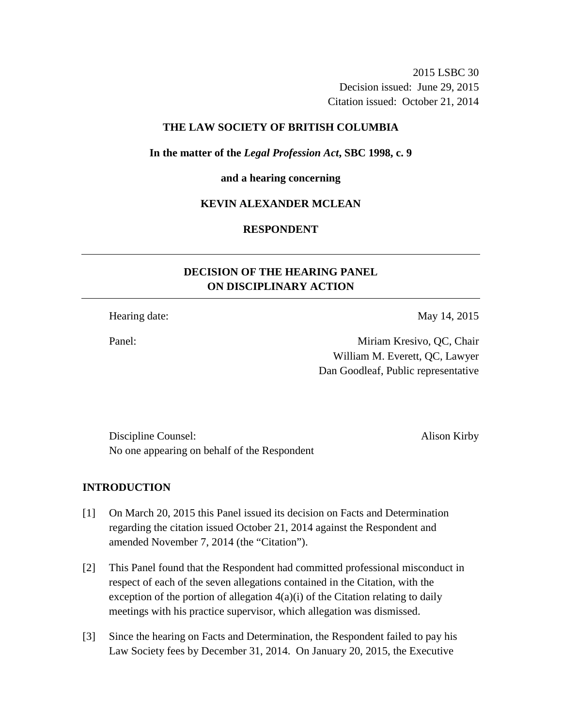2015 LSBC 30 Decision issued: June 29, 2015 Citation issued: October 21, 2014

# **THE LAW SOCIETY OF BRITISH COLUMBIA**

**In the matter of the** *Legal Profession Act***, SBC 1998, c. 9** 

#### **and a hearing concerning**

# **KEVIN ALEXANDER MCLEAN**

# **RESPONDENT**

# **DECISION OF THE HEARING PANEL ON DISCIPLINARY ACTION**

Hearing date: May 14, 2015

Panel: Miriam Kresivo, QC, Chair William M. Everett, QC, Lawyer Dan Goodleaf, Public representative

Discipline Counsel: Alison Kirby No one appearing on behalf of the Respondent

### **INTRODUCTION**

- [1] On March 20, 2015 this Panel issued its decision on Facts and Determination regarding the citation issued October 21, 2014 against the Respondent and amended November 7, 2014 (the "Citation").
- [2] This Panel found that the Respondent had committed professional misconduct in respect of each of the seven allegations contained in the Citation, with the exception of the portion of allegation  $4(a)(i)$  of the Citation relating to daily meetings with his practice supervisor, which allegation was dismissed.
- [3] Since the hearing on Facts and Determination, the Respondent failed to pay his Law Society fees by December 31, 2014. On January 20, 2015, the Executive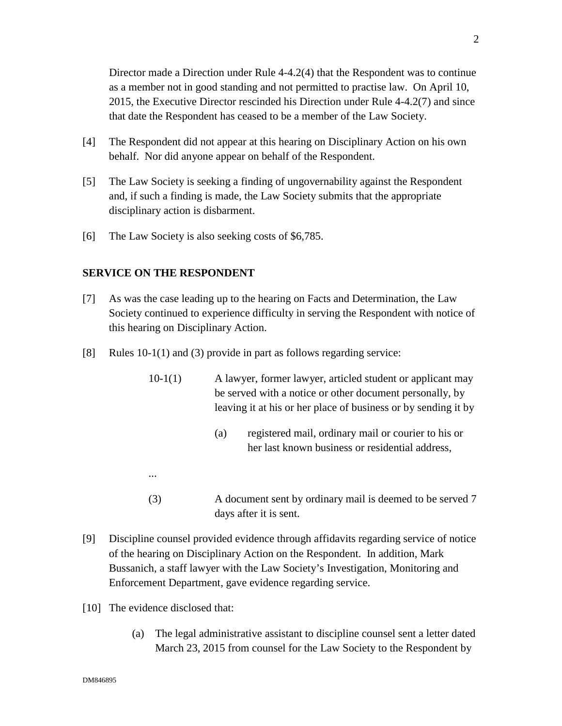Director made a Direction under Rule 4-4.2(4) that the Respondent was to continue as a member not in good standing and not permitted to practise law. On April 10, 2015, the Executive Director rescinded his Direction under Rule 4-4.2(7) and since that date the Respondent has ceased to be a member of the Law Society.

- [4] The Respondent did not appear at this hearing on Disciplinary Action on his own behalf. Nor did anyone appear on behalf of the Respondent.
- [5] The Law Society is seeking a finding of ungovernability against the Respondent and, if such a finding is made, the Law Society submits that the appropriate disciplinary action is disbarment.
- [6] The Law Society is also seeking costs of \$6,785.

# **SERVICE ON THE RESPONDENT**

- [7] As was the case leading up to the hearing on Facts and Determination, the Law Society continued to experience difficulty in serving the Respondent with notice of this hearing on Disciplinary Action.
- [8] Rules 10-1(1) and (3) provide in part as follows regarding service:
	- 10-1(1) A lawyer, former lawyer, articled student or applicant may be served with a notice or other document personally, by leaving it at his or her place of business or by sending it by
		- (a) registered mail, ordinary mail or courier to his or her last known business or residential address,
	- ...
	- (3) A document sent by ordinary mail is deemed to be served 7 days after it is sent.
- [9] Discipline counsel provided evidence through affidavits regarding service of notice of the hearing on Disciplinary Action on the Respondent. In addition, Mark Bussanich, a staff lawyer with the Law Society's Investigation, Monitoring and Enforcement Department, gave evidence regarding service.
- [10] The evidence disclosed that:
	- (a) The legal administrative assistant to discipline counsel sent a letter dated March 23, 2015 from counsel for the Law Society to the Respondent by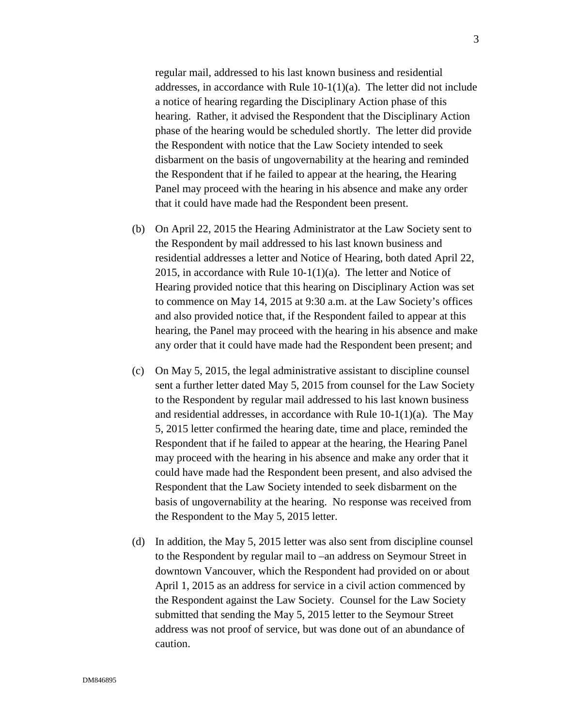regular mail, addressed to his last known business and residential addresses, in accordance with Rule 10-1(1)(a). The letter did not include a notice of hearing regarding the Disciplinary Action phase of this hearing. Rather, it advised the Respondent that the Disciplinary Action phase of the hearing would be scheduled shortly. The letter did provide the Respondent with notice that the Law Society intended to seek disbarment on the basis of ungovernability at the hearing and reminded the Respondent that if he failed to appear at the hearing, the Hearing Panel may proceed with the hearing in his absence and make any order that it could have made had the Respondent been present.

- (b) On April 22, 2015 the Hearing Administrator at the Law Society sent to the Respondent by mail addressed to his last known business and residential addresses a letter and Notice of Hearing, both dated April 22, 2015, in accordance with Rule  $10-1(1)(a)$ . The letter and Notice of Hearing provided notice that this hearing on Disciplinary Action was set to commence on May 14, 2015 at 9:30 a.m. at the Law Society's offices and also provided notice that, if the Respondent failed to appear at this hearing, the Panel may proceed with the hearing in his absence and make any order that it could have made had the Respondent been present; and
- (c) On May 5, 2015, the legal administrative assistant to discipline counsel sent a further letter dated May 5, 2015 from counsel for the Law Society to the Respondent by regular mail addressed to his last known business and residential addresses, in accordance with Rule 10-1(1)(a). The May 5, 2015 letter confirmed the hearing date, time and place, reminded the Respondent that if he failed to appear at the hearing, the Hearing Panel may proceed with the hearing in his absence and make any order that it could have made had the Respondent been present, and also advised the Respondent that the Law Society intended to seek disbarment on the basis of ungovernability at the hearing. No response was received from the Respondent to the May 5, 2015 letter.
- (d) In addition, the May 5, 2015 letter was also sent from discipline counsel to the Respondent by regular mail to –an address on Seymour Street in downtown Vancouver, which the Respondent had provided on or about April 1, 2015 as an address for service in a civil action commenced by the Respondent against the Law Society. Counsel for the Law Society submitted that sending the May 5, 2015 letter to the Seymour Street address was not proof of service, but was done out of an abundance of caution.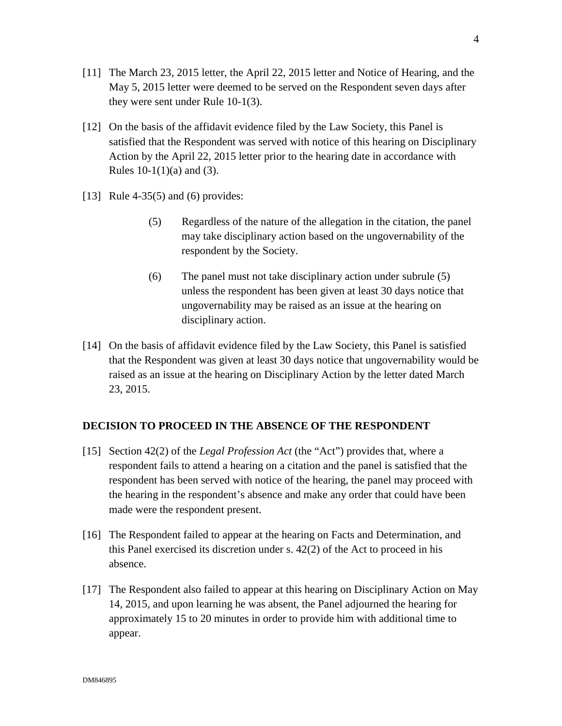- [11] The March 23, 2015 letter, the April 22, 2015 letter and Notice of Hearing, and the May 5, 2015 letter were deemed to be served on the Respondent seven days after they were sent under Rule 10-1(3).
- [12] On the basis of the affidavit evidence filed by the Law Society, this Panel is satisfied that the Respondent was served with notice of this hearing on Disciplinary Action by the April 22, 2015 letter prior to the hearing date in accordance with Rules  $10-1(1)(a)$  and  $(3)$ .
- [13] Rule 4-35(5) and (6) provides:
	- (5) Regardless of the nature of the allegation in the citation, the panel may take disciplinary action based on the ungovernability of the respondent by the Society.
	- (6) The panel must not take disciplinary action under subrule (5) unless the respondent has been given at least 30 days notice that ungovernability may be raised as an issue at the hearing on disciplinary action.
- [14] On the basis of affidavit evidence filed by the Law Society, this Panel is satisfied that the Respondent was given at least 30 days notice that ungovernability would be raised as an issue at the hearing on Disciplinary Action by the letter dated March 23, 2015.

# **DECISION TO PROCEED IN THE ABSENCE OF THE RESPONDENT**

- [15] Section 42(2) of the *Legal Profession Act* (the "Act") provides that, where a respondent fails to attend a hearing on a citation and the panel is satisfied that the respondent has been served with notice of the hearing, the panel may proceed with the hearing in the respondent's absence and make any order that could have been made were the respondent present.
- [16] The Respondent failed to appear at the hearing on Facts and Determination, and this Panel exercised its discretion under s. 42(2) of the Act to proceed in his absence.
- [17] The Respondent also failed to appear at this hearing on Disciplinary Action on May 14, 2015, and upon learning he was absent, the Panel adjourned the hearing for approximately 15 to 20 minutes in order to provide him with additional time to appear.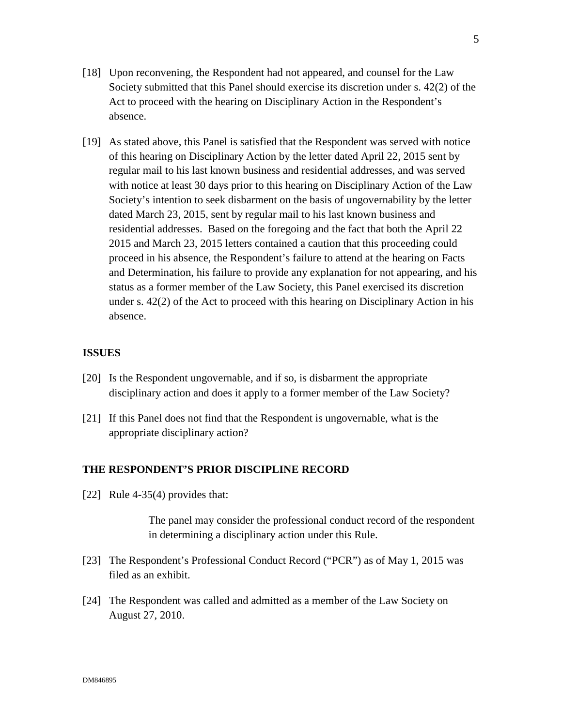- [18] Upon reconvening, the Respondent had not appeared, and counsel for the Law Society submitted that this Panel should exercise its discretion under s. 42(2) of the Act to proceed with the hearing on Disciplinary Action in the Respondent's absence.
- [19] As stated above, this Panel is satisfied that the Respondent was served with notice of this hearing on Disciplinary Action by the letter dated April 22, 2015 sent by regular mail to his last known business and residential addresses, and was served with notice at least 30 days prior to this hearing on Disciplinary Action of the Law Society's intention to seek disbarment on the basis of ungovernability by the letter dated March 23, 2015, sent by regular mail to his last known business and residential addresses. Based on the foregoing and the fact that both the April 22 2015 and March 23, 2015 letters contained a caution that this proceeding could proceed in his absence, the Respondent's failure to attend at the hearing on Facts and Determination, his failure to provide any explanation for not appearing, and his status as a former member of the Law Society, this Panel exercised its discretion under s. 42(2) of the Act to proceed with this hearing on Disciplinary Action in his absence.

### **ISSUES**

- [20] Is the Respondent ungovernable, and if so, is disbarment the appropriate disciplinary action and does it apply to a former member of the Law Society?
- [21] If this Panel does not find that the Respondent is ungovernable, what is the appropriate disciplinary action?

# **THE RESPONDENT'S PRIOR DISCIPLINE RECORD**

[22] Rule 4-35(4) provides that:

The panel may consider the professional conduct record of the respondent in determining a disciplinary action under this Rule.

- [23] The Respondent's Professional Conduct Record ("PCR") as of May 1, 2015 was filed as an exhibit.
- [24] The Respondent was called and admitted as a member of the Law Society on August 27, 2010.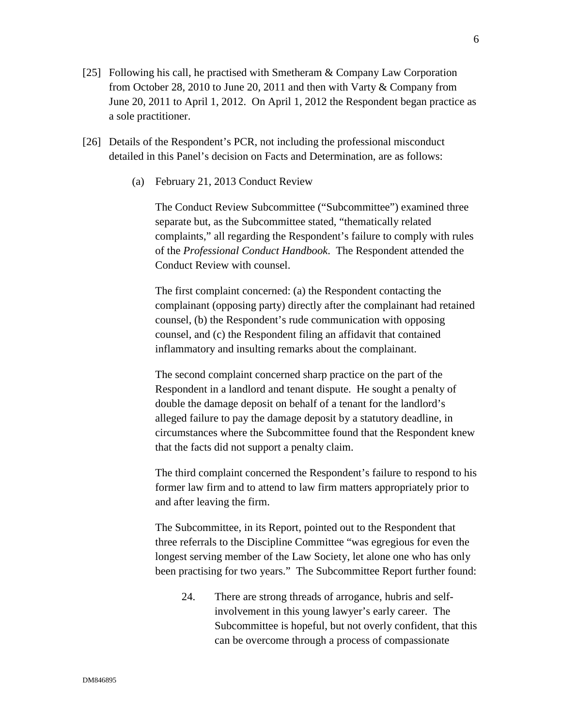- [25] Following his call, he practised with Smetheram & Company Law Corporation from October 28, 2010 to June 20, 2011 and then with Varty & Company from June 20, 2011 to April 1, 2012. On April 1, 2012 the Respondent began practice as a sole practitioner.
- [26] Details of the Respondent's PCR, not including the professional misconduct detailed in this Panel's decision on Facts and Determination, are as follows:
	- (a) February 21, 2013 Conduct Review

The Conduct Review Subcommittee ("Subcommittee") examined three separate but, as the Subcommittee stated, "thematically related complaints," all regarding the Respondent's failure to comply with rules of the *Professional Conduct Handbook*. The Respondent attended the Conduct Review with counsel.

The first complaint concerned: (a) the Respondent contacting the complainant (opposing party) directly after the complainant had retained counsel, (b) the Respondent's rude communication with opposing counsel, and (c) the Respondent filing an affidavit that contained inflammatory and insulting remarks about the complainant.

The second complaint concerned sharp practice on the part of the Respondent in a landlord and tenant dispute. He sought a penalty of double the damage deposit on behalf of a tenant for the landlord's alleged failure to pay the damage deposit by a statutory deadline, in circumstances where the Subcommittee found that the Respondent knew that the facts did not support a penalty claim.

The third complaint concerned the Respondent's failure to respond to his former law firm and to attend to law firm matters appropriately prior to and after leaving the firm.

The Subcommittee, in its Report, pointed out to the Respondent that three referrals to the Discipline Committee "was egregious for even the longest serving member of the Law Society, let alone one who has only been practising for two years." The Subcommittee Report further found:

24. There are strong threads of arrogance, hubris and selfinvolvement in this young lawyer's early career. The Subcommittee is hopeful, but not overly confident, that this can be overcome through a process of compassionate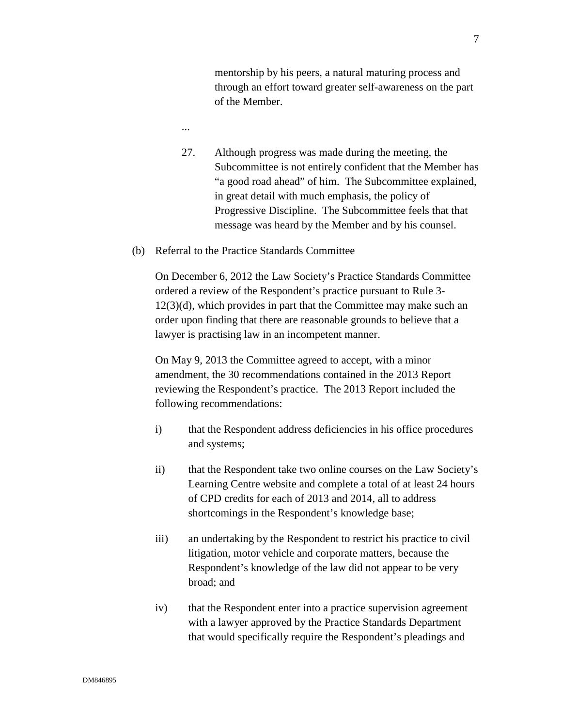mentorship by his peers, a natural maturing process and through an effort toward greater self-awareness on the part of the Member.

- ...
- 27. Although progress was made during the meeting, the Subcommittee is not entirely confident that the Member has "a good road ahead" of him. The Subcommittee explained, in great detail with much emphasis, the policy of Progressive Discipline. The Subcommittee feels that that message was heard by the Member and by his counsel.
- (b) Referral to the Practice Standards Committee

On December 6, 2012 the Law Society's Practice Standards Committee ordered a review of the Respondent's practice pursuant to Rule 3- 12(3)(d), which provides in part that the Committee may make such an order upon finding that there are reasonable grounds to believe that a lawyer is practising law in an incompetent manner.

On May 9, 2013 the Committee agreed to accept, with a minor amendment, the 30 recommendations contained in the 2013 Report reviewing the Respondent's practice. The 2013 Report included the following recommendations:

- i) that the Respondent address deficiencies in his office procedures and systems;
- ii) that the Respondent take two online courses on the Law Society's Learning Centre website and complete a total of at least 24 hours of CPD credits for each of 2013 and 2014, all to address shortcomings in the Respondent's knowledge base;
- iii) an undertaking by the Respondent to restrict his practice to civil litigation, motor vehicle and corporate matters, because the Respondent's knowledge of the law did not appear to be very broad; and
- iv) that the Respondent enter into a practice supervision agreement with a lawyer approved by the Practice Standards Department that would specifically require the Respondent's pleadings and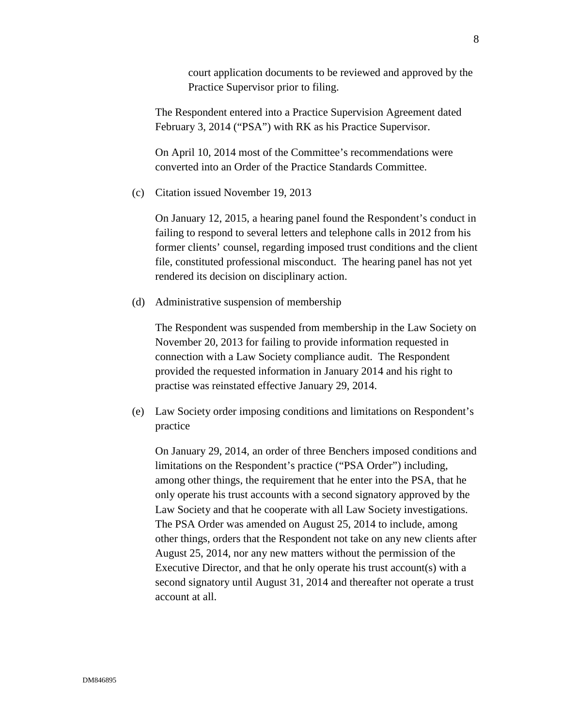court application documents to be reviewed and approved by the Practice Supervisor prior to filing.

The Respondent entered into a Practice Supervision Agreement dated February 3, 2014 ("PSA") with RK as his Practice Supervisor.

On April 10, 2014 most of the Committee's recommendations were converted into an Order of the Practice Standards Committee.

(c) Citation issued November 19, 2013

On January 12, 2015, a hearing panel found the Respondent's conduct in failing to respond to several letters and telephone calls in 2012 from his former clients' counsel, regarding imposed trust conditions and the client file, constituted professional misconduct. The hearing panel has not yet rendered its decision on disciplinary action.

(d) Administrative suspension of membership

The Respondent was suspended from membership in the Law Society on November 20, 2013 for failing to provide information requested in connection with a Law Society compliance audit. The Respondent provided the requested information in January 2014 and his right to practise was reinstated effective January 29, 2014.

(e) Law Society order imposing conditions and limitations on Respondent's practice

On January 29, 2014, an order of three Benchers imposed conditions and limitations on the Respondent's practice ("PSA Order") including, among other things, the requirement that he enter into the PSA, that he only operate his trust accounts with a second signatory approved by the Law Society and that he cooperate with all Law Society investigations. The PSA Order was amended on August 25, 2014 to include, among other things, orders that the Respondent not take on any new clients after August 25, 2014, nor any new matters without the permission of the Executive Director, and that he only operate his trust account(s) with a second signatory until August 31, 2014 and thereafter not operate a trust account at all.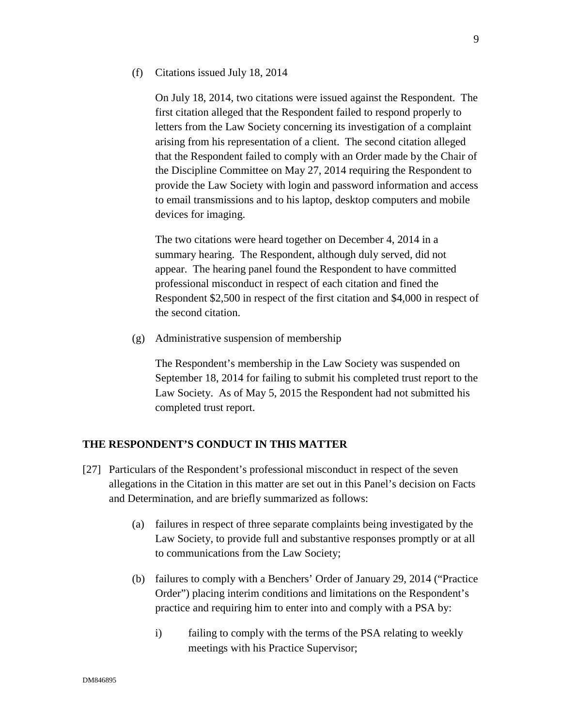(f) Citations issued July 18, 2014

On July 18, 2014, two citations were issued against the Respondent. The first citation alleged that the Respondent failed to respond properly to letters from the Law Society concerning its investigation of a complaint arising from his representation of a client. The second citation alleged that the Respondent failed to comply with an Order made by the Chair of the Discipline Committee on May 27, 2014 requiring the Respondent to provide the Law Society with login and password information and access to email transmissions and to his laptop, desktop computers and mobile devices for imaging.

The two citations were heard together on December 4, 2014 in a summary hearing. The Respondent, although duly served, did not appear. The hearing panel found the Respondent to have committed professional misconduct in respect of each citation and fined the Respondent \$2,500 in respect of the first citation and \$4,000 in respect of the second citation.

(g) Administrative suspension of membership

The Respondent's membership in the Law Society was suspended on September 18, 2014 for failing to submit his completed trust report to the Law Society. As of May 5, 2015 the Respondent had not submitted his completed trust report.

### **THE RESPONDENT'S CONDUCT IN THIS MATTER**

- [27] Particulars of the Respondent's professional misconduct in respect of the seven allegations in the Citation in this matter are set out in this Panel's decision on Facts and Determination, and are briefly summarized as follows:
	- (a) failures in respect of three separate complaints being investigated by the Law Society, to provide full and substantive responses promptly or at all to communications from the Law Society;
	- (b) failures to comply with a Benchers' Order of January 29, 2014 ("Practice Order") placing interim conditions and limitations on the Respondent's practice and requiring him to enter into and comply with a PSA by:
		- i) failing to comply with the terms of the PSA relating to weekly meetings with his Practice Supervisor;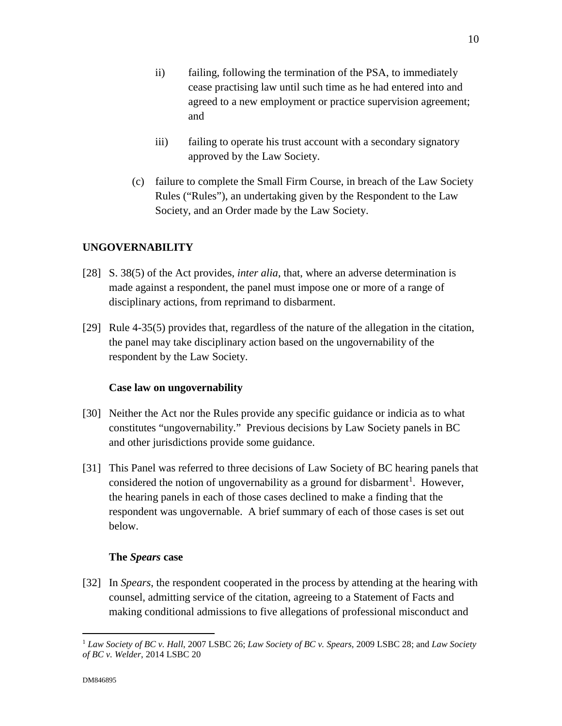- ii) failing, following the termination of the PSA, to immediately cease practising law until such time as he had entered into and agreed to a new employment or practice supervision agreement; and
- iii) failing to operate his trust account with a secondary signatory approved by the Law Society.
- (c) failure to complete the Small Firm Course, in breach of the Law Society Rules ("Rules"), an undertaking given by the Respondent to the Law Society, and an Order made by the Law Society.

# **UNGOVERNABILITY**

- [28] S. 38(5) of the Act provides, *inter alia*, that, where an adverse determination is made against a respondent, the panel must impose one or more of a range of disciplinary actions, from reprimand to disbarment.
- [29] Rule 4-35(5) provides that, regardless of the nature of the allegation in the citation, the panel may take disciplinary action based on the ungovernability of the respondent by the Law Society.

#### **Case law on ungovernability**

- [30] Neither the Act nor the Rules provide any specific guidance or indicia as to what constitutes "ungovernability." Previous decisions by Law Society panels in BC and other jurisdictions provide some guidance.
- [31] This Panel was referred to three decisions of Law Society of BC hearing panels that considered the notion of ungovernability as a ground for disbarment<sup>1</sup>. However, the hearing panels in each of those cases declined to make a finding that the respondent was ungovernable. A brief summary of each of those cases is set out below.

### **The** *Spears* **case**

[32] In *Spears*, the respondent cooperated in the process by attending at the hearing with counsel, admitting service of the citation, agreeing to a Statement of Facts and making conditional admissions to five allegations of professional misconduct and

 $\overline{a}$ 

<sup>1</sup> *Law Society of BC v. Hall*, 2007 LSBC 26; *Law Society of BC v. Spears*, 2009 LSBC 28; and *Law Society of BC v. Welder*, 2014 LSBC 20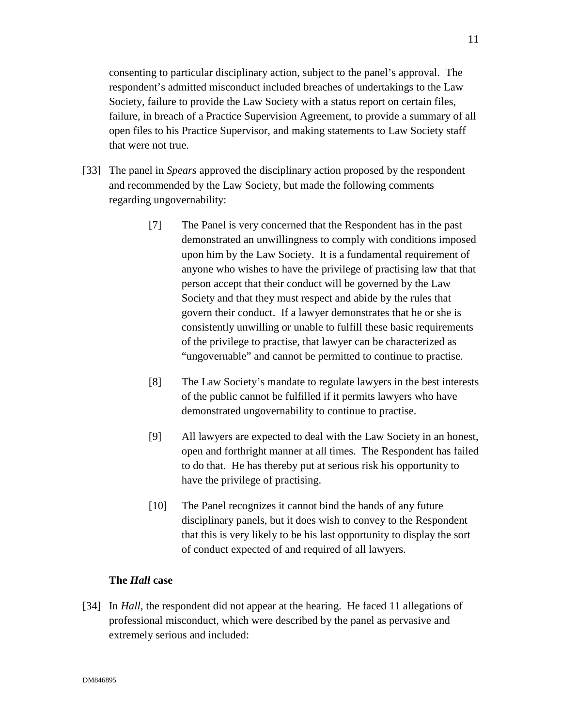consenting to particular disciplinary action, subject to the panel's approval. The respondent's admitted misconduct included breaches of undertakings to the Law Society, failure to provide the Law Society with a status report on certain files, failure, in breach of a Practice Supervision Agreement, to provide a summary of all open files to his Practice Supervisor, and making statements to Law Society staff that were not true.

- [33] The panel in *Spears* approved the disciplinary action proposed by the respondent and recommended by the Law Society, but made the following comments regarding ungovernability:
	- [7] The Panel is very concerned that the Respondent has in the past demonstrated an unwillingness to comply with conditions imposed upon him by the Law Society. It is a fundamental requirement of anyone who wishes to have the privilege of practising law that that person accept that their conduct will be governed by the Law Society and that they must respect and abide by the rules that govern their conduct. If a lawyer demonstrates that he or she is consistently unwilling or unable to fulfill these basic requirements of the privilege to practise, that lawyer can be characterized as "ungovernable" and cannot be permitted to continue to practise.
	- [8] The Law Society's mandate to regulate lawyers in the best interests of the public cannot be fulfilled if it permits lawyers who have demonstrated ungovernability to continue to practise.
	- [9] All lawyers are expected to deal with the Law Society in an honest, open and forthright manner at all times. The Respondent has failed to do that. He has thereby put at serious risk his opportunity to have the privilege of practising.
	- [10] The Panel recognizes it cannot bind the hands of any future disciplinary panels, but it does wish to convey to the Respondent that this is very likely to be his last opportunity to display the sort of conduct expected of and required of all lawyers.

# **The** *Hall* **case**

[34] In *Hall*, the respondent did not appear at the hearing. He faced 11 allegations of professional misconduct, which were described by the panel as pervasive and extremely serious and included: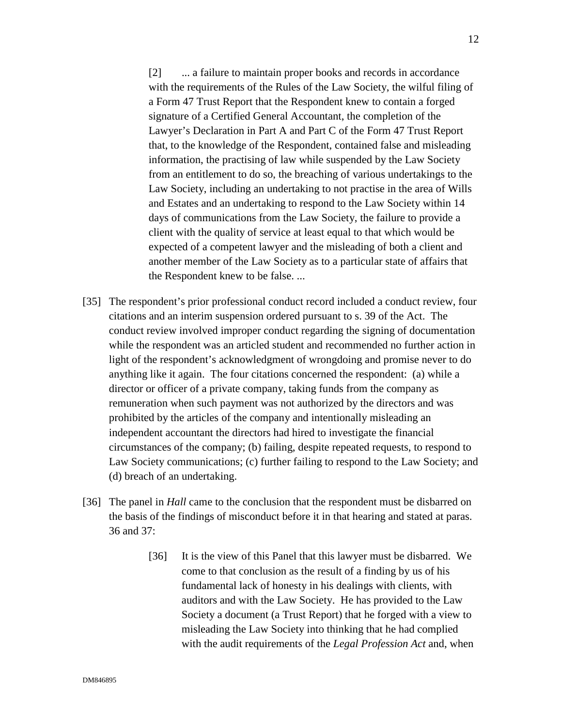[2] ... a failure to maintain proper books and records in accordance with the requirements of the Rules of the Law Society, the wilful filing of a Form 47 Trust Report that the Respondent knew to contain a forged signature of a Certified General Accountant, the completion of the Lawyer's Declaration in Part A and Part C of the Form 47 Trust Report that, to the knowledge of the Respondent, contained false and misleading information, the practising of law while suspended by the Law Society from an entitlement to do so, the breaching of various undertakings to the Law Society, including an undertaking to not practise in the area of Wills and Estates and an undertaking to respond to the Law Society within 14 days of communications from the Law Society, the failure to provide a client with the quality of service at least equal to that which would be expected of a competent lawyer and the misleading of both a client and another member of the Law Society as to a particular state of affairs that the Respondent knew to be false. ...

- [35] The respondent's prior professional conduct record included a conduct review, four citations and an interim suspension ordered pursuant to s. 39 of the Act. The conduct review involved improper conduct regarding the signing of documentation while the respondent was an articled student and recommended no further action in light of the respondent's acknowledgment of wrongdoing and promise never to do anything like it again. The four citations concerned the respondent: (a) while a director or officer of a private company, taking funds from the company as remuneration when such payment was not authorized by the directors and was prohibited by the articles of the company and intentionally misleading an independent accountant the directors had hired to investigate the financial circumstances of the company; (b) failing, despite repeated requests, to respond to Law Society communications; (c) further failing to respond to the Law Society; and (d) breach of an undertaking.
- [36] The panel in *Hall* came to the conclusion that the respondent must be disbarred on the basis of the findings of misconduct before it in that hearing and stated at paras. 36 and 37:
	- [36] It is the view of this Panel that this lawyer must be disbarred. We come to that conclusion as the result of a finding by us of his fundamental lack of honesty in his dealings with clients, with auditors and with the Law Society. He has provided to the Law Society a document (a Trust Report) that he forged with a view to misleading the Law Society into thinking that he had complied with the audit requirements of the *Legal Profession Act* and, when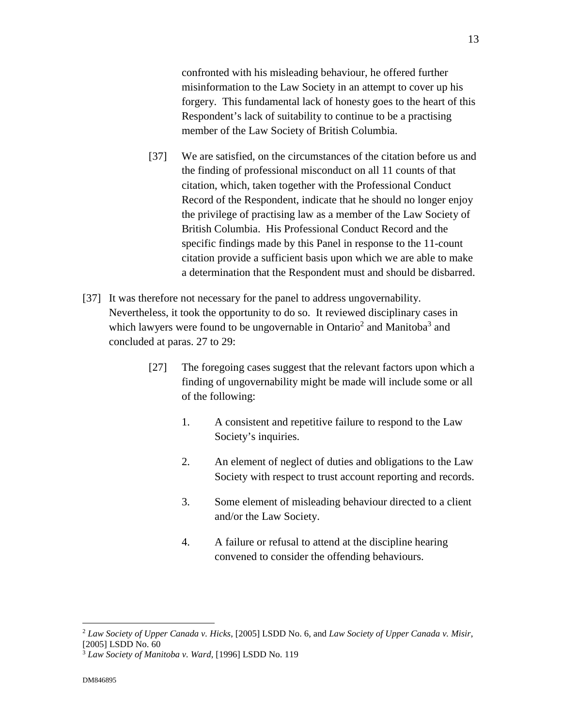confronted with his misleading behaviour, he offered further misinformation to the Law Society in an attempt to cover up his forgery. This fundamental lack of honesty goes to the heart of this Respondent's lack of suitability to continue to be a practising member of the Law Society of British Columbia.

- [37] We are satisfied, on the circumstances of the citation before us and the finding of professional misconduct on all 11 counts of that citation, which, taken together with the Professional Conduct Record of the Respondent, indicate that he should no longer enjoy the privilege of practising law as a member of the Law Society of British Columbia. His Professional Conduct Record and the specific findings made by this Panel in response to the 11-count citation provide a sufficient basis upon which we are able to make a determination that the Respondent must and should be disbarred.
- [37] It was therefore not necessary for the panel to address ungovernability. Nevertheless, it took the opportunity to do so. It reviewed disciplinary cases in which lawyers were found to be ungovernable in Ontario<sup>2</sup> and Manitoba<sup>3</sup> and concluded at paras. 27 to 29:
	- [27] The foregoing cases suggest that the relevant factors upon which a finding of ungovernability might be made will include some or all of the following:
		- 1. A consistent and repetitive failure to respond to the Law Society's inquiries.
		- 2. An element of neglect of duties and obligations to the Law Society with respect to trust account reporting and records.
		- 3. Some element of misleading behaviour directed to a client and/or the Law Society.
		- 4. A failure or refusal to attend at the discipline hearing convened to consider the offending behaviours.

 $\overline{a}$ <sup>2</sup> *Law Society of Upper Canada v. Hicks*, [2005] LSDD No. 6, and *Law Society of Upper Canada v. Misir*, [2005] LSDD No. 60

<sup>3</sup> *Law Society of Manitoba v. Ward*, [1996] LSDD No. 119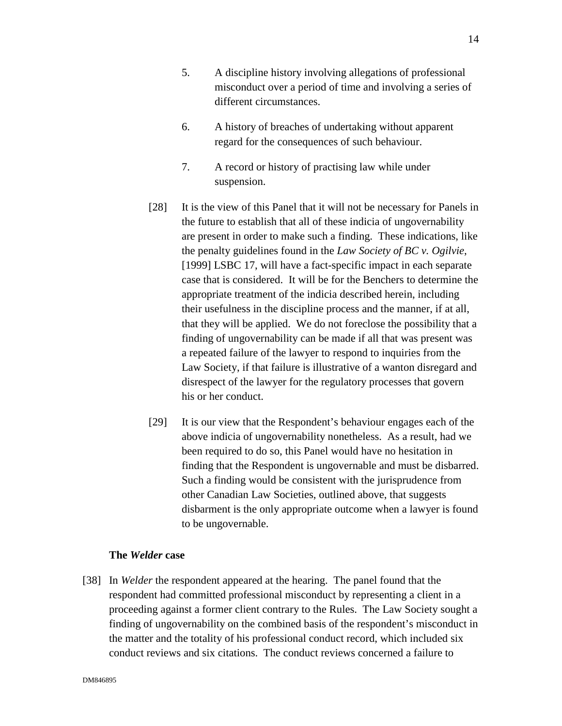- 5. A discipline history involving allegations of professional misconduct over a period of time and involving a series of different circumstances.
- 6. A history of breaches of undertaking without apparent regard for the consequences of such behaviour.
- 7. A record or history of practising law while under suspension.
- [28] It is the view of this Panel that it will not be necessary for Panels in the future to establish that all of these indicia of ungovernability are present in order to make such a finding. These indications, like the penalty guidelines found in the *Law Society of BC v. Ogilvie*, [1999] LSBC 17, will have a fact-specific impact in each separate case that is considered. It will be for the Benchers to determine the appropriate treatment of the indicia described herein, including their usefulness in the discipline process and the manner, if at all, that they will be applied. We do not foreclose the possibility that a finding of ungovernability can be made if all that was present was a repeated failure of the lawyer to respond to inquiries from the Law Society, if that failure is illustrative of a wanton disregard and disrespect of the lawyer for the regulatory processes that govern his or her conduct.
- [29] It is our view that the Respondent's behaviour engages each of the above indicia of ungovernability nonetheless. As a result, had we been required to do so, this Panel would have no hesitation in finding that the Respondent is ungovernable and must be disbarred. Such a finding would be consistent with the jurisprudence from other Canadian Law Societies, outlined above, that suggests disbarment is the only appropriate outcome when a lawyer is found to be ungovernable.

### **The** *Welder* **case**

[38] In *Welder* the respondent appeared at the hearing. The panel found that the respondent had committed professional misconduct by representing a client in a proceeding against a former client contrary to the Rules. The Law Society sought a finding of ungovernability on the combined basis of the respondent's misconduct in the matter and the totality of his professional conduct record, which included six conduct reviews and six citations. The conduct reviews concerned a failure to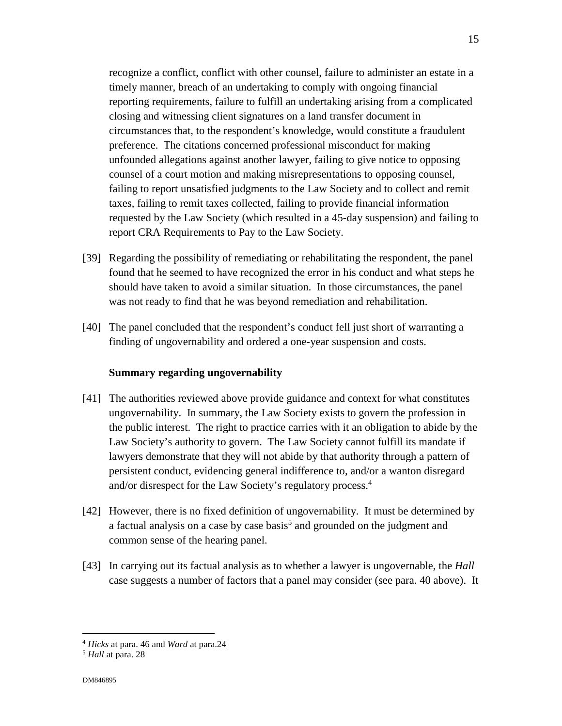recognize a conflict, conflict with other counsel, failure to administer an estate in a timely manner, breach of an undertaking to comply with ongoing financial reporting requirements, failure to fulfill an undertaking arising from a complicated closing and witnessing client signatures on a land transfer document in circumstances that, to the respondent's knowledge, would constitute a fraudulent preference. The citations concerned professional misconduct for making unfounded allegations against another lawyer, failing to give notice to opposing counsel of a court motion and making misrepresentations to opposing counsel, failing to report unsatisfied judgments to the Law Society and to collect and remit taxes, failing to remit taxes collected, failing to provide financial information requested by the Law Society (which resulted in a 45-day suspension) and failing to report CRA Requirements to Pay to the Law Society.

- [39] Regarding the possibility of remediating or rehabilitating the respondent, the panel found that he seemed to have recognized the error in his conduct and what steps he should have taken to avoid a similar situation. In those circumstances, the panel was not ready to find that he was beyond remediation and rehabilitation.
- [40] The panel concluded that the respondent's conduct fell just short of warranting a finding of ungovernability and ordered a one-year suspension and costs.

### **Summary regarding ungovernability**

- [41] The authorities reviewed above provide guidance and context for what constitutes ungovernability. In summary, the Law Society exists to govern the profession in the public interest. The right to practice carries with it an obligation to abide by the Law Society's authority to govern. The Law Society cannot fulfill its mandate if lawyers demonstrate that they will not abide by that authority through a pattern of persistent conduct, evidencing general indifference to, and/or a wanton disregard and/or disrespect for the Law Society's regulatory process.<sup>4</sup>
- [42] However, there is no fixed definition of ungovernability. It must be determined by a factual analysis on a case by case basis<sup>5</sup> and grounded on the judgment and common sense of the hearing panel.
- [43] In carrying out its factual analysis as to whether a lawyer is ungovernable, the *Hall*  case suggests a number of factors that a panel may consider (see para. 40 above). It

-

<sup>4</sup> *Hicks* at para. 46 and *Ward* at para.24 5 *Hall* at para. 28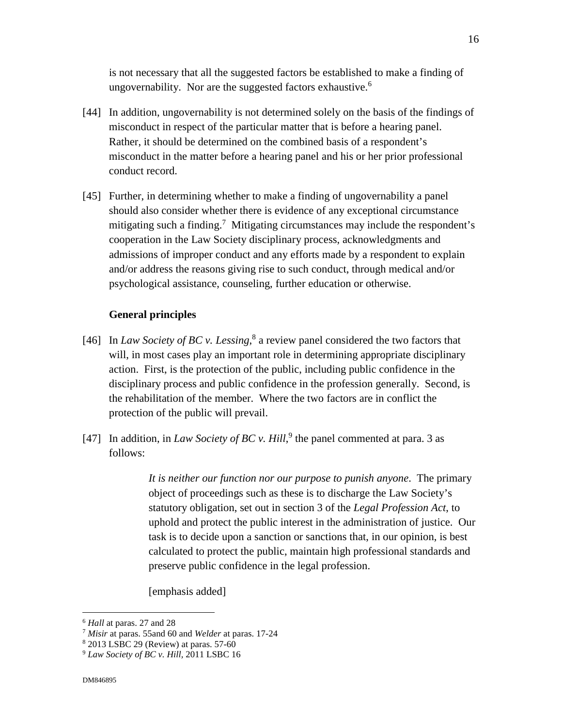is not necessary that all the suggested factors be established to make a finding of ungovernability. Nor are the suggested factors exhaustive.<sup>6</sup>

- [44] In addition, ungovernability is not determined solely on the basis of the findings of misconduct in respect of the particular matter that is before a hearing panel. Rather, it should be determined on the combined basis of a respondent's misconduct in the matter before a hearing panel and his or her prior professional conduct record.
- [45] Further, in determining whether to make a finding of ungovernability a panel should also consider whether there is evidence of any exceptional circumstance mitigating such a finding.<sup>7</sup> Mitigating circumstances may include the respondent's cooperation in the Law Society disciplinary process, acknowledgments and admissions of improper conduct and any efforts made by a respondent to explain and/or address the reasons giving rise to such conduct, through medical and/or psychological assistance, counseling, further education or otherwise.

### **General principles**

- [46] In *Law Society of BC v. Lessing*,<sup>8</sup> a review panel considered the two factors that will, in most cases play an important role in determining appropriate disciplinary action. First, is the protection of the public, including public confidence in the disciplinary process and public confidence in the profession generally. Second, is the rehabilitation of the member. Where the two factors are in conflict the protection of the public will prevail.
- [47] In addition, in *Law Society of BC v. Hill*,<sup>9</sup> the panel commented at para. 3 as follows:

*It is neither our function nor our purpose to punish anyone*. The primary object of proceedings such as these is to discharge the Law Society's statutory obligation, set out in section 3 of the *Legal Profession Act*, to uphold and protect the public interest in the administration of justice. Our task is to decide upon a sanction or sanctions that, in our opinion, is best calculated to protect the public, maintain high professional standards and preserve public confidence in the legal profession.

[emphasis added]

 $\overline{a}$ 

<sup>&</sup>lt;sup>6</sup> *Hall* at paras. 27 and 28<br><sup>7</sup> *Misir* at paras. 55and 60 and *Welder* at paras. 17-24

 $8\,2013$  LSBC 29 (Review) at paras. 57-60

<sup>9</sup> *Law Society of BC v. Hill,* 2011 LSBC 16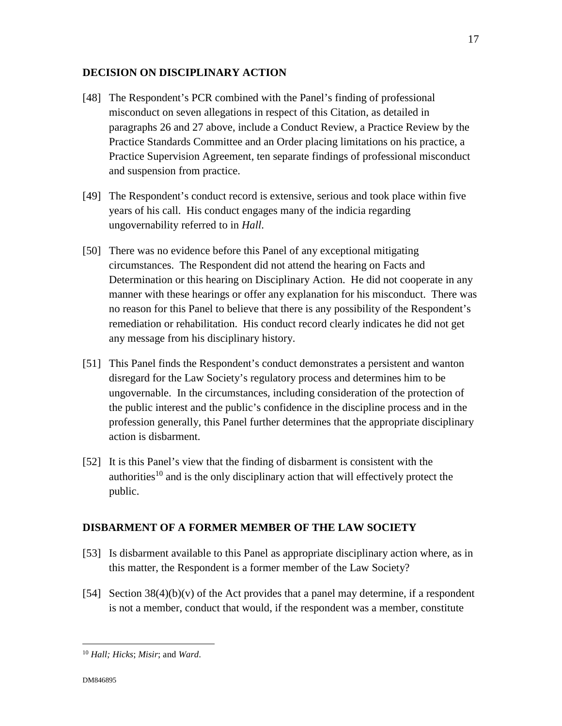# **DECISION ON DISCIPLINARY ACTION**

- [48] The Respondent's PCR combined with the Panel's finding of professional misconduct on seven allegations in respect of this Citation, as detailed in paragraphs 26 and 27 above, include a Conduct Review, a Practice Review by the Practice Standards Committee and an Order placing limitations on his practice, a Practice Supervision Agreement, ten separate findings of professional misconduct and suspension from practice.
- [49] The Respondent's conduct record is extensive, serious and took place within five years of his call. His conduct engages many of the indicia regarding ungovernability referred to in *Hall*.
- [50] There was no evidence before this Panel of any exceptional mitigating circumstances. The Respondent did not attend the hearing on Facts and Determination or this hearing on Disciplinary Action. He did not cooperate in any manner with these hearings or offer any explanation for his misconduct. There was no reason for this Panel to believe that there is any possibility of the Respondent's remediation or rehabilitation. His conduct record clearly indicates he did not get any message from his disciplinary history.
- [51] This Panel finds the Respondent's conduct demonstrates a persistent and wanton disregard for the Law Society's regulatory process and determines him to be ungovernable. In the circumstances, including consideration of the protection of the public interest and the public's confidence in the discipline process and in the profession generally, this Panel further determines that the appropriate disciplinary action is disbarment.
- [52] It is this Panel's view that the finding of disbarment is consistent with the authorities<sup>10</sup> and is the only disciplinary action that will effectively protect the public.

# **DISBARMENT OF A FORMER MEMBER OF THE LAW SOCIETY**

- [53] Is disbarment available to this Panel as appropriate disciplinary action where, as in this matter, the Respondent is a former member of the Law Society?
- [54] Section  $38(4)(b)(v)$  of the Act provides that a panel may determine, if a respondent is not a member, conduct that would, if the respondent was a member, constitute

<sup>&</sup>lt;u>.</u> <sup>10</sup> *Hall; Hicks*; *Misir*; and *Ward*.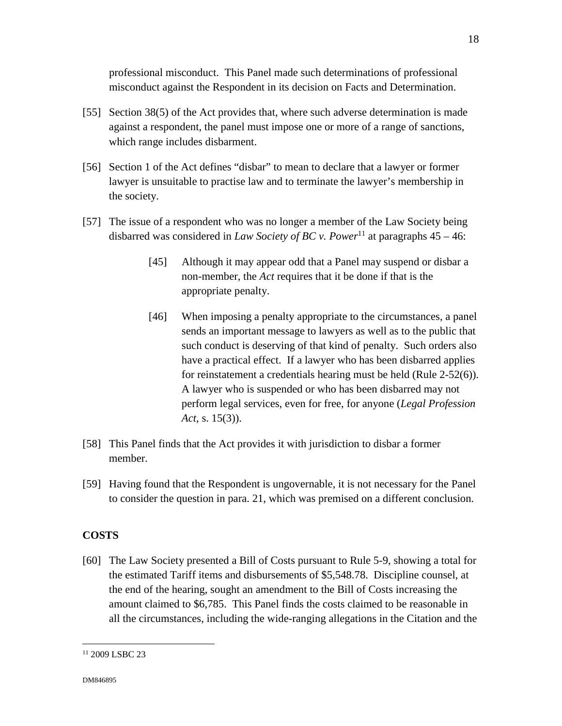professional misconduct. This Panel made such determinations of professional misconduct against the Respondent in its decision on Facts and Determination.

- [55] Section 38(5) of the Act provides that, where such adverse determination is made against a respondent, the panel must impose one or more of a range of sanctions, which range includes disbarment.
- [56] Section 1 of the Act defines "disbar" to mean to declare that a lawyer or former lawyer is unsuitable to practise law and to terminate the lawyer's membership in the society.
- [57] The issue of a respondent who was no longer a member of the Law Society being disbarred was considered in *Law Society of BC v. Power*<sup>11</sup> at paragraphs  $45 - 46$ :
	- [45] Although it may appear odd that a Panel may suspend or disbar a non-member, the *Act* requires that it be done if that is the appropriate penalty.
	- [46] When imposing a penalty appropriate to the circumstances, a panel sends an important message to lawyers as well as to the public that such conduct is deserving of that kind of penalty. Such orders also have a practical effect. If a lawyer who has been disbarred applies for reinstatement a credentials hearing must be held (Rule 2-52(6)). A lawyer who is suspended or who has been disbarred may not perform legal services, even for free, for anyone (*Legal Profession Act*, s. 15(3)).
- [58] This Panel finds that the Act provides it with jurisdiction to disbar a former member.
- [59] Having found that the Respondent is ungovernable, it is not necessary for the Panel to consider the question in para. 21, which was premised on a different conclusion.

# **COSTS**

[60] The Law Society presented a Bill of Costs pursuant to Rule 5-9, showing a total for the estimated Tariff items and disbursements of \$5,548.78. Discipline counsel, at the end of the hearing, sought an amendment to the Bill of Costs increasing the amount claimed to \$6,785. This Panel finds the costs claimed to be reasonable in all the circumstances, including the wide-ranging allegations in the Citation and the

<u>.</u>

<sup>&</sup>lt;sup>11</sup> 2009 LSBC 23